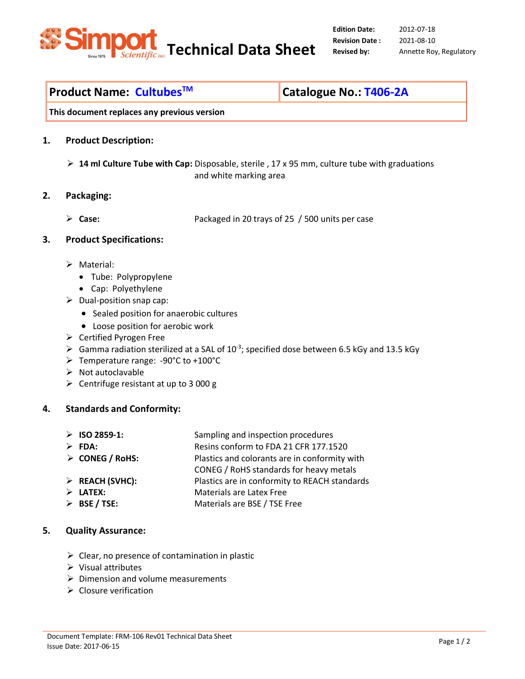

**Edition Date: Revision Date :** 

2012-07-18 2021-08-10 **Revised by:** Annette Roy, Regulatory

# **Product Name: CultubesTM Catalogue No.: T406-2A**

**This document replaces any previous version** 

## **1. Product Description:**

 **14 ml Culture Tube with Cap:** Disposable, sterile , 17 x 95 mm, culture tube with graduations and white marking area

### **2. Packaging:**

**Case:** Packaged in 20 trays of 25 / 500 units per case

## **3. Product Specifications:**

- > Material:
	- Tube: Polypropylene
	- Cap: Polyethylene
- $\triangleright$  Dual-position snap cap:
	- Sealed position for anaerobic cultures
	- Loose position for aerobic work
- $\triangleright$  Certified Pyrogen Free
- $\triangleright$  Gamma radiation sterilized at a SAL of 10<sup>-3</sup>; specified dose between 6.5 kGy and 13.5 kGy
- Temperature range: -90°C to +100°C
- $\triangleright$  Not autoclavable
- $\triangleright$  Centrifuge resistant at up to 3 000 g

# **4. Standards and Conformity:**

- **ISO 2859-1:** Sampling and inspection procedures
- **FDA:** Resins conform to FDA 21 CFR 177.1520
- **CONEG / RoHS:** Plastics and colorants are in conformity with
	- CONEG / RoHS standards for heavy metals
- **REACH (SVHC):** Plastics are in conformity to REACH standards
- **LATEX:** Materials are Latex Free
- **BSE / TSE:** Materials are BSE / TSE Free

# **5. Quality Assurance:**

- $\triangleright$  Clear, no presence of contamination in plastic
- $\triangleright$  Visual attributes
- $\triangleright$  Dimension and volume measurements
- $\triangleright$  Closure verification